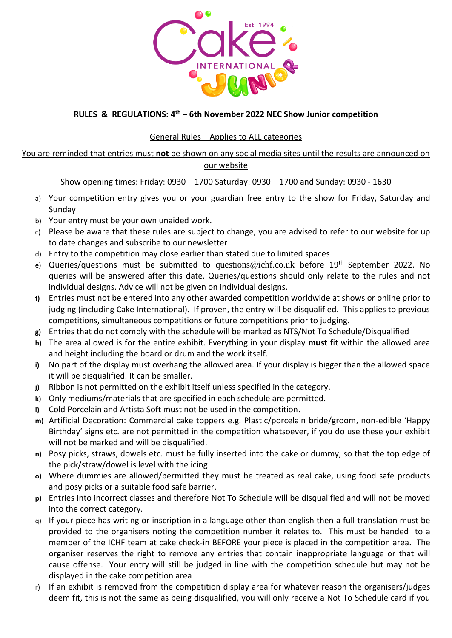

# **RULES & REGULATIONS: 4 th – 6th November 2022 NEC Show Junior competition**

# General Rules – Applies to ALL categories

### You are reminded that entries must **not** be shown on any social media sites until the results are announced on our website

# Show opening times: Friday: 0930 – 1700 Saturday: 0930 – 1700 and Sunday: 0930 - 1630

- a) Your competition entry gives you or your guardian free entry to the show for Friday, Saturday and Sunday
- b) Your entry must be your own unaided work.
- c) Please be aware that these rules are subject to change, you are advised to refer to our website for up to date changes and subscribe to our newsletter
- d) Entry to the competition may close earlier than stated due to limited spaces
- e) Queries/questions must be submitted to [questions@ichf.co.uk](mailto:questions@ichf.co.uk) before 19<sup>th</sup> September 2022. No queries will be answered after this date. Queries/questions should only relate to the rules and not individual designs. Advice will not be given on individual designs.
- **f)** Entries must not be entered into any other awarded competition worldwide at shows or online prior to judging (including Cake International). If proven, the entry will be disqualified. This applies to previous competitions, simultaneous competitions or future competitions prior to judging.
- **g)** Entries that do not comply with the schedule will be marked as NTS/Not To Schedule/Disqualified
- **h)** The area allowed is for the entire exhibit. Everything in your display **must** fit within the allowed area and height including the board or drum and the work itself.
- **i)** No part of the display must overhang the allowed area. If your display is bigger than the allowed space it will be disqualified. It can be smaller.
- **j)** Ribbon is not permitted on the exhibit itself unless specified in the category.
- **k)** Only mediums/materials that are specified in each schedule are permitted.
- **l)** Cold Porcelain and Artista Soft must not be used in the competition.
- **m)** Artificial Decoration: Commercial cake toppers e.g. Plastic/porcelain bride/groom, non-edible 'Happy Birthday' signs etc. are not permitted in the competition whatsoever, if you do use these your exhibit will not be marked and will be disqualified.
- **n)** Posy picks, straws, dowels etc. must be fully inserted into the cake or dummy, so that the top edge of the pick/straw/dowel is level with the icing
- **o)** Where dummies are allowed/permitted they must be treated as real cake, using food safe products and posy picks or a suitable food safe barrier.
- **p)** Entries into incorrect classes and therefore Not To Schedule will be disqualified and will not be moved into the correct category.
- q) If your piece has writing or inscription in a language other than english then a full translation must be provided to the organisers noting the competition number it relates to. This must be handed to a member of the ICHF team at cake check-in BEFORE your piece is placed in the competition area. The organiser reserves the right to remove any entries that contain inappropriate language or that will cause offense. Your entry will still be judged in line with the competition schedule but may not be displayed in the cake competition area
- r) If an exhibit is removed from the competition display area for whatever reason the organisers/judges deem fit, this is not the same as being disqualified, you will only receive a Not To Schedule card if you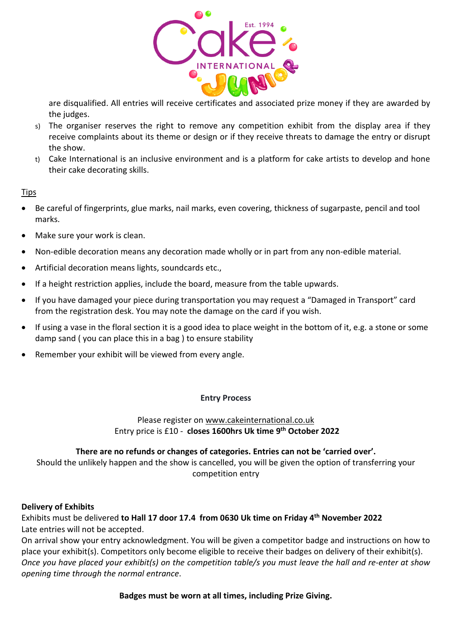

are disqualified. All entries will receive certificates and associated prize money if they are awarded by the judges.

- s) The organiser reserves the right to remove any competition exhibit from the display area if they receive complaints about its theme or design or if they receive threats to damage the entry or disrupt the show.
- t) Cake International is an inclusive environment and is a platform for cake artists to develop and hone their cake decorating skills.

# **Tips**

- Be careful of fingerprints, glue marks, nail marks, even covering, thickness of sugarpaste, pencil and tool marks.
- Make sure your work is clean.
- Non-edible decoration means any decoration made wholly or in part from any non-edible material.
- Artificial decoration means lights, soundcards etc.,
- If a height restriction applies, include the board, measure from the table upwards.
- If you have damaged your piece during transportation you may request a "Damaged in Transport" card from the registration desk. You may note the damage on the card if you wish.
- If using a vase in the floral section it is a good idea to place weight in the bottom of it, e.g. a stone or some damp sand ( you can place this in a bag ) to ensure stability
- Remember your exhibit will be viewed from every angle.

### **Entry Process**

# Please register on [www.cakeinternational.co.uk](http://www.cakeinternational.co.uk/) Entry price is £10 - **closes 1600hrs Uk time 9 th October 2022**

# **There are no refunds or changes of categories. Entries can not be 'carried over'.**

Should the unlikely happen and the show is cancelled, you will be given the option of transferring your competition entry

### **Delivery of Exhibits**

Exhibits must be delivered **to Hall 17 door 17.4 from 0630 Uk time on Friday 4 th November 2022** Late entries will not be accepted.

On arrival show your entry acknowledgment. You will be given a competitor badge and instructions on how to place your exhibit(s). Competitors only become eligible to receive their badges on delivery of their exhibit(s). *Once you have placed your exhibit(s) on the competition table/s you must leave the hall and re-enter at show opening time through the normal entrance*.

**Badges must be worn at all times, including Prize Giving.**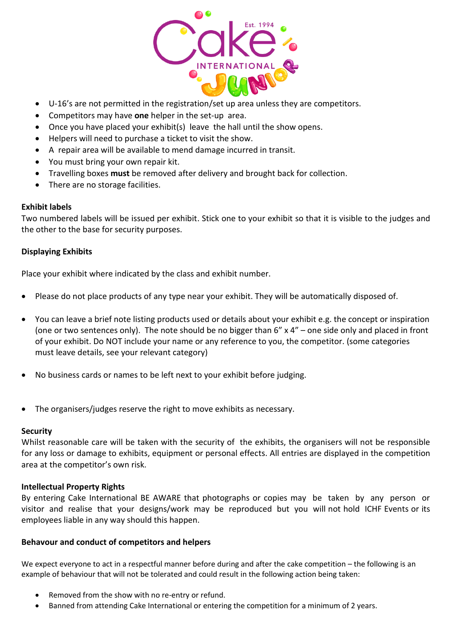

- U-16's are not permitted in the registration/set up area unless they are competitors.
- Competitors may have **one** helper in the set-up area.
- Once you have placed your exhibit(s) leave the hall until the show opens.
- Helpers will need to purchase a ticket to visit the show.
- A repair area will be available to mend damage incurred in transit.
- You must bring your own repair kit.
- Travelling boxes **must** be removed after delivery and brought back for collection.
- There are no storage facilities.

#### **Exhibit labels**

Two numbered labels will be issued per exhibit. Stick one to your exhibit so that it is visible to the judges and the other to the base for security purposes.

### **Displaying Exhibits**

Place your exhibit where indicated by the class and exhibit number.

- Please do not place products of any type near your exhibit. They will be automatically disposed of.
- You can leave a brief note listing products used or details about your exhibit e.g. the concept or inspiration (one or two sentences only). The note should be no bigger than 6" x 4" – one side only and placed in front of your exhibit. Do NOT include your name or any reference to you, the competitor. (some categories must leave details, see your relevant category)
- No business cards or names to be left next to your exhibit before judging.
- The organisers/judges reserve the right to move exhibits as necessary.

#### **Security**

Whilst reasonable care will be taken with the security of the exhibits, the organisers will not be responsible for any loss or damage to exhibits, equipment or personal effects. All entries are displayed in the competition area at the competitor's own risk.

### **Intellectual Property Rights**

By entering Cake International BE AWARE that photographs or copies may be taken by any person or visitor and realise that your designs/work may be reproduced but you will not hold ICHF Events or its employees liable in any way should this happen.

### **Behavour and conduct of competitors and helpers**

We expect everyone to act in a respectful manner before during and after the cake competition – the following is an example of behaviour that will not be tolerated and could result in the following action being taken:

- Removed from the show with no re-entry or refund.
- Banned from attending Cake International or entering the competition for a minimum of 2 years.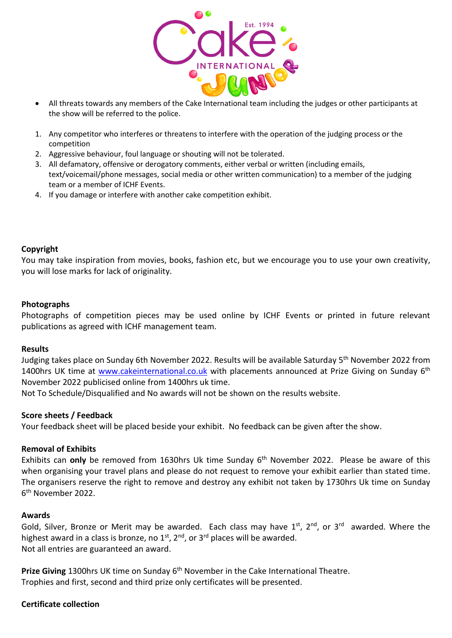

- All threats towards any members of the Cake International team including the judges or other participants at the show will be referred to the police.
- 1. Any competitor who interferes or threatens to interfere with the operation of the judging process or the competition
- 2. Aggressive behaviour, foul language or shouting will not be tolerated.
- 3. All defamatory, offensive or derogatory comments, either verbal or written (including emails, text/voicemail/phone messages, social media or other written communication) to a member of the judging team or a member of ICHF Events.
- 4. If you damage or interfere with another cake competition exhibit.

### **Copyright**

You may take inspiration from movies, books, fashion etc, but we encourage you to use your own creativity, you will lose marks for lack of originality.

### **Photographs**

Photographs of competition pieces may be used online by ICHF Events or printed in future relevant publications as agreed with ICHF management team.

### **Results**

Judging takes place on Sunday 6th November 2022. Results will be available Saturday 5<sup>th</sup> November 2022 from 1400hrs UK time at *www.cakeinternational.co.uk* with placements announced at Prize Giving on Sunday 6<sup>th</sup> November 2022 publicised online from 1400hrs uk time.

Not To Schedule/Disqualified and No awards will not be shown on the results website.

### **Score sheets / Feedback**

Your feedback sheet will be placed beside your exhibit. No feedback can be given after the show.

### **Removal of Exhibits**

Exhibits can only be removed from 1630hrs Uk time Sunday 6<sup>th</sup> November 2022. Please be aware of this when organising your travel plans and please do not request to remove your exhibit earlier than stated time. The organisers reserve the right to remove and destroy any exhibit not taken by 1730hrs Uk time on Sunday 6 th November 2022.

### **Awards**

Gold, Silver, Bronze or Merit may be awarded. Each class may have 1st, 2nd, or 3rd awarded. Where the highest award in a class is bronze, no 1<sup>st</sup>, 2<sup>nd</sup>, or 3<sup>rd</sup> places will be awarded. Not all entries are guaranteed an award.

Prize Giving 1300hrs UK time on Sunday 6<sup>th</sup> November in the Cake International Theatre. Trophies and first, second and third prize only certificates will be presented.

### **Certificate collection**